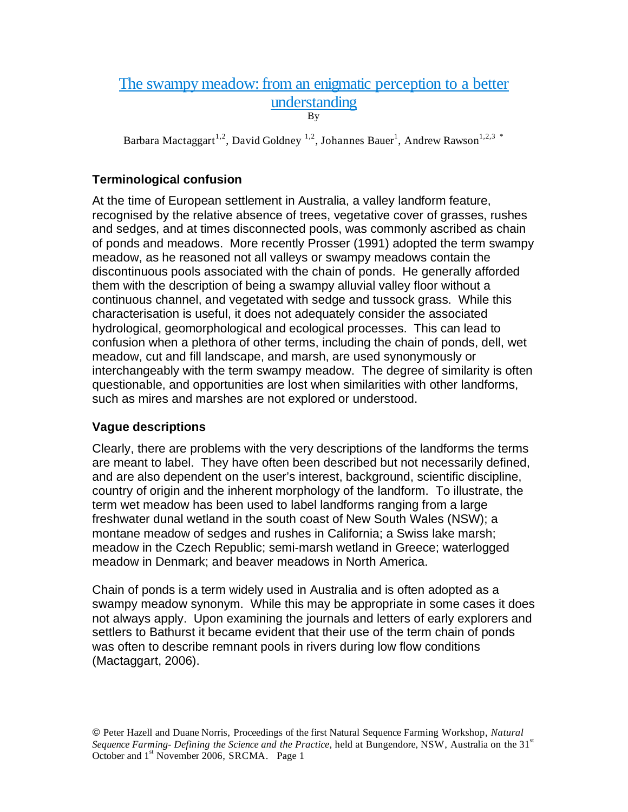# The swampy meadow: from an enigmatic perception to a better understanding

By

Barbara Mactaggart<sup>1,2</sup>, David Goldney<sup>1,2</sup>, Johannes Bauer<sup>1</sup>, Andrew Rawson<sup>1,2,3</sup>\*

# **Terminological confusion**

At the time of European settlement in Australia, a valley landform feature, recognised by the relative absence of trees, vegetative cover of grasses, rushes and sedges, and at times disconnected pools, was commonly ascribed as chain of ponds and meadows. More recently Prosser (1991) adopted the term swampy meadow, as he reasoned not all valleys or swampy meadows contain the discontinuous pools associated with the chain of ponds. He generally afforded them with the description of being a swampy alluvial valley floor without a continuous channel, and vegetated with sedge and tussock grass. While this characterisation is useful, it does not adequately consider the associated hydrological, geomorphological and ecological processes. This can lead to confusion when a plethora of other terms, including the chain of ponds, dell, wet meadow, cut and fill landscape, and marsh, are used synonymously or interchangeably with the term swampy meadow. The degree of similarity is often questionable, and opportunities are lost when similarities with other landforms, such as mires and marshes are not explored or understood.

# **Vague descriptions**

Clearly, there are problems with the very descriptions of the landforms the terms are meant to label. They have often been described but not necessarily defined, and are also dependent on the user's interest, background, scientific discipline, country of origin and the inherent morphology of the landform. To illustrate, the term wet meadow has been used to label landforms ranging from a large freshwater dunal wetland in the south coast of New South Wales (NSW); a montane meadow of sedges and rushes in California; a Swiss lake marsh; meadow in the Czech Republic; semi-marsh wetland in Greece; waterlogged meadow in Denmark; and beaver meadows in North America.

Chain of ponds is a term widely used in Australia and is often adopted as a swampy meadow synonym. While this may be appropriate in some cases it does not always apply. Upon examining the journals and letters of early explorers and settlers to Bathurst it became evident that their use of the term chain of ponds was often to describe remnant pools in rivers during low flow conditions (Mactaggart, 2006).

Peter Hazell and Duane Norris, Proceedings of the first Natural Sequence Farming Workshop, *Natural Sequence Farming- Defining the Science and the Practice, held at Bungendore, NSW, Australia on the 31<sup>st</sup>* October and 1<sup>st</sup> November 2006, SRCMA. Page 1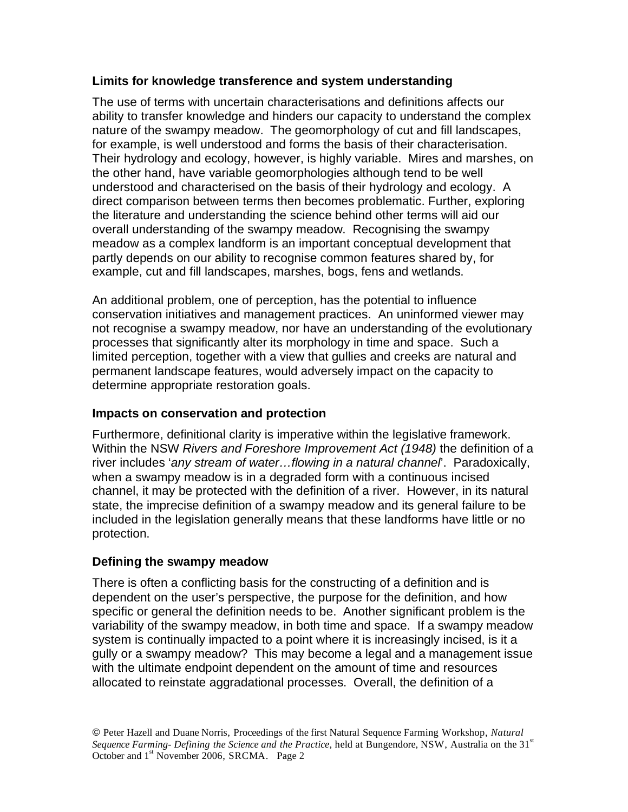## **Limits for knowledge transference and system understanding**

The use of terms with uncertain characterisations and definitions affects our ability to transfer knowledge and hinders our capacity to understand the complex nature of the swampy meadow. The geomorphology of cut and fill landscapes, for example, is well understood and forms the basis of their characterisation. Their hydrology and ecology, however, is highly variable. Mires and marshes, on the other hand, have variable geomorphologies although tend to be well understood and characterised on the basis of their hydrology and ecology. A direct comparison between terms then becomes problematic. Further, exploring the literature and understanding the science behind other terms will aid our overall understanding of the swampy meadow. Recognising the swampy meadow as a complex landform is an important conceptual development that partly depends on our ability to recognise common features shared by, for example, cut and fill landscapes, marshes, bogs, fens and wetlands.

An additional problem, one of perception, has the potential to influence conservation initiatives and management practices. An uninformed viewer may not recognise a swampy meadow, nor have an understanding of the evolutionary processes that significantly alter its morphology in time and space. Such a limited perception, together with a view that gullies and creeks are natural and permanent landscape features, would adversely impact on the capacity to determine appropriate restoration goals.

### **Impacts on conservation and protection**

Furthermore, definitional clarity is imperative within the legislative framework. Within the NSW *Rivers and Foreshore Improvement Act (1948)* the definition of a river includes '*any stream of water…flowing in a natural channel*'. Paradoxically, when a swampy meadow is in a degraded form with a continuous incised channel, it may be protected with the definition of a river. However, in its natural state, the imprecise definition of a swampy meadow and its general failure to be included in the legislation generally means that these landforms have little or no protection.

# **Defining the swampy meadow**

There is often a conflicting basis for the constructing of a definition and is dependent on the user's perspective, the purpose for the definition, and how specific or general the definition needs to be. Another significant problem is the variability of the swampy meadow, in both time and space. If a swampy meadow system is continually impacted to a point where it is increasingly incised, is it a gully or a swampy meadow? This may become a legal and a management issue with the ultimate endpoint dependent on the amount of time and resources allocated to reinstate aggradational processes. Overall, the definition of a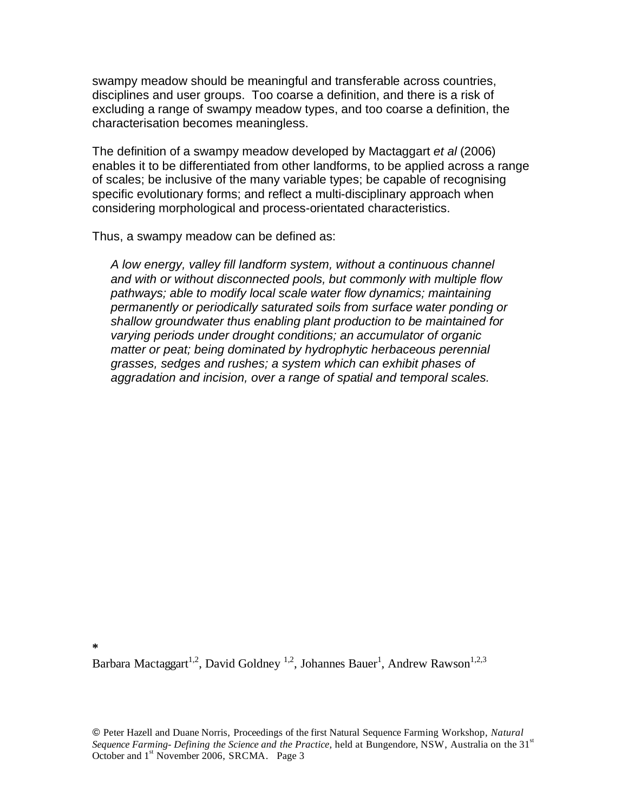swampy meadow should be meaningful and transferable across countries, disciplines and user groups. Too coarse a definition, and there is a risk of excluding a range of swampy meadow types, and too coarse a definition, the characterisation becomes meaningless.

The definition of a swampy meadow developed by Mactaggart *et al* (2006) enables it to be differentiated from other landforms, to be applied across a range of scales; be inclusive of the many variable types; be capable of recognising specific evolutionary forms; and reflect a multi-disciplinary approach when considering morphological and process-orientated characteristics.

Thus, a swampy meadow can be defined as:

*A low energy, valley fill landform system, without a continuous channel and with or without disconnected pools, but commonly with multiple flow pathways; able to modify local scale water flow dynamics; maintaining permanently or periodically saturated soils from surface water ponding or shallow groundwater thus enabling plant production to be maintained for varying periods under drought conditions; an accumulator of organic matter or peat; being dominated by hydrophytic herbaceous perennial grasses, sedges and rushes; a system which can exhibit phases of aggradation and incision, over a range of spatial and temporal scales.* 

**\*** 

Barbara Mactaggart<sup>1,2</sup>, David Goldney<sup>1,2</sup>, Johannes Bauer<sup>1</sup>, Andrew Rawson<sup>1,2,3</sup>

 Peter Hazell and Duane Norris, Proceedings of the first Natural Sequence Farming Workshop, *Natural Sequence Farming- Defining the Science and the Practice, held at Bungendore, NSW, Australia on the 31<sup>st</sup>* October and 1<sup>st</sup> November 2006, SRCMA. Page 3